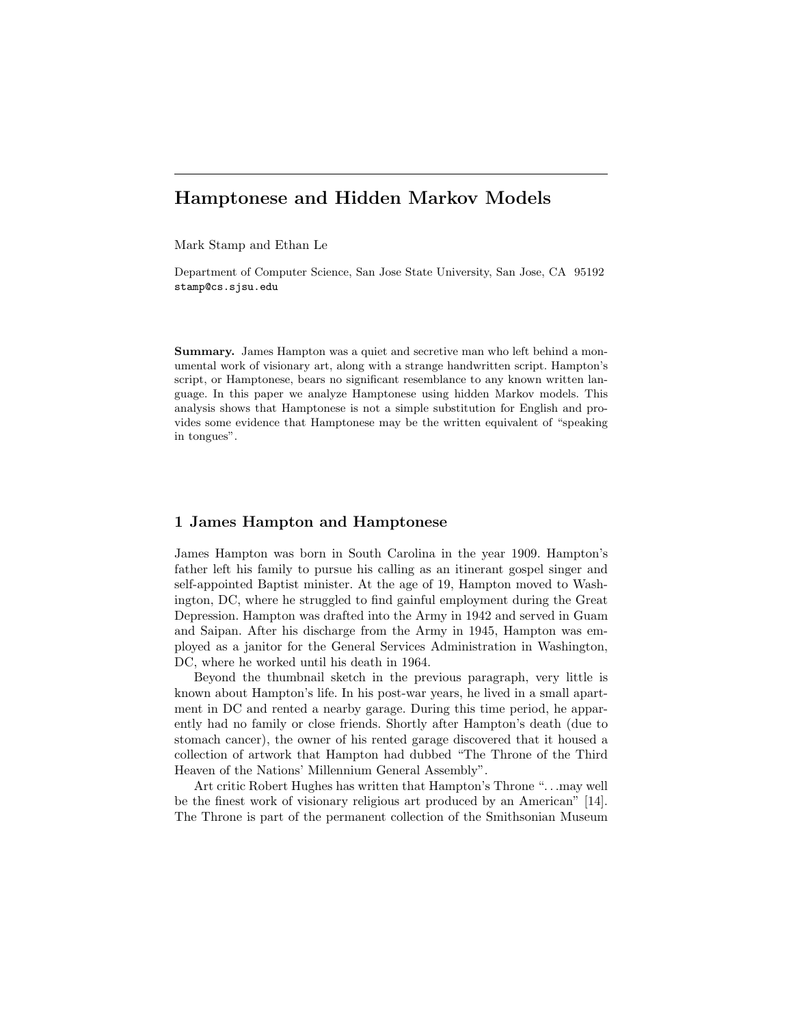# Hamptonese and Hidden Markov Models

Mark Stamp and Ethan Le

Department of Computer Science, San Jose State University, San Jose, CA 95192 stamp@cs.sjsu.edu

Summary. James Hampton was a quiet and secretive man who left behind a monumental work of visionary art, along with a strange handwritten script. Hampton's script, or Hamptonese, bears no significant resemblance to any known written language. In this paper we analyze Hamptonese using hidden Markov models. This analysis shows that Hamptonese is not a simple substitution for English and provides some evidence that Hamptonese may be the written equivalent of "speaking in tongues".

### 1 James Hampton and Hamptonese

James Hampton was born in South Carolina in the year 1909. Hampton's father left his family to pursue his calling as an itinerant gospel singer and self-appointed Baptist minister. At the age of 19, Hampton moved to Washington, DC, where he struggled to find gainful employment during the Great Depression. Hampton was drafted into the Army in 1942 and served in Guam and Saipan. After his discharge from the Army in 1945, Hampton was employed as a janitor for the General Services Administration in Washington, DC, where he worked until his death in 1964.

Beyond the thumbnail sketch in the previous paragraph, very little is known about Hampton's life. In his post-war years, he lived in a small apartment in DC and rented a nearby garage. During this time period, he apparently had no family or close friends. Shortly after Hampton's death (due to stomach cancer), the owner of his rented garage discovered that it housed a collection of artwork that Hampton had dubbed "The Throne of the Third Heaven of the Nations' Millennium General Assembly".

Art critic Robert Hughes has written that Hampton's Throne ". . .may well be the finest work of visionary religious art produced by an American" [14]. The Throne is part of the permanent collection of the Smithsonian Museum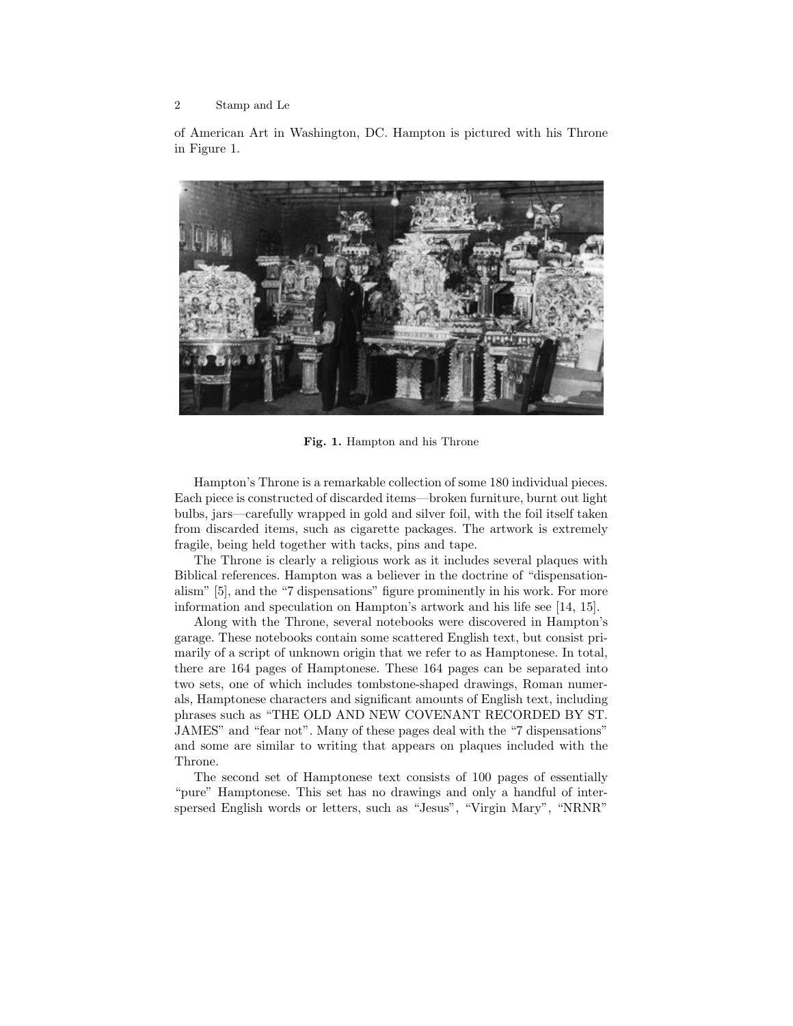of American Art in Washington, DC. Hampton is pictured with his Throne in Figure 1.



Fig. 1. Hampton and his Throne

Hampton's Throne is a remarkable collection of some 180 individual pieces. Each piece is constructed of discarded items—broken furniture, burnt out light bulbs, jars—carefully wrapped in gold and silver foil, with the foil itself taken from discarded items, such as cigarette packages. The artwork is extremely fragile, being held together with tacks, pins and tape.

The Throne is clearly a religious work as it includes several plaques with Biblical references. Hampton was a believer in the doctrine of "dispensationalism" [5], and the "7 dispensations" figure prominently in his work. For more information and speculation on Hampton's artwork and his life see [14, 15].

Along with the Throne, several notebooks were discovered in Hampton's garage. These notebooks contain some scattered English text, but consist primarily of a script of unknown origin that we refer to as Hamptonese. In total, there are 164 pages of Hamptonese. These 164 pages can be separated into two sets, one of which includes tombstone-shaped drawings, Roman numerals, Hamptonese characters and significant amounts of English text, including phrases such as "THE OLD AND NEW COVENANT RECORDED BY ST. JAMES" and "fear not". Many of these pages deal with the "7 dispensations" and some are similar to writing that appears on plaques included with the Throne.

The second set of Hamptonese text consists of 100 pages of essentially "pure" Hamptonese. This set has no drawings and only a handful of interspersed English words or letters, such as "Jesus", "Virgin Mary", "NRNR"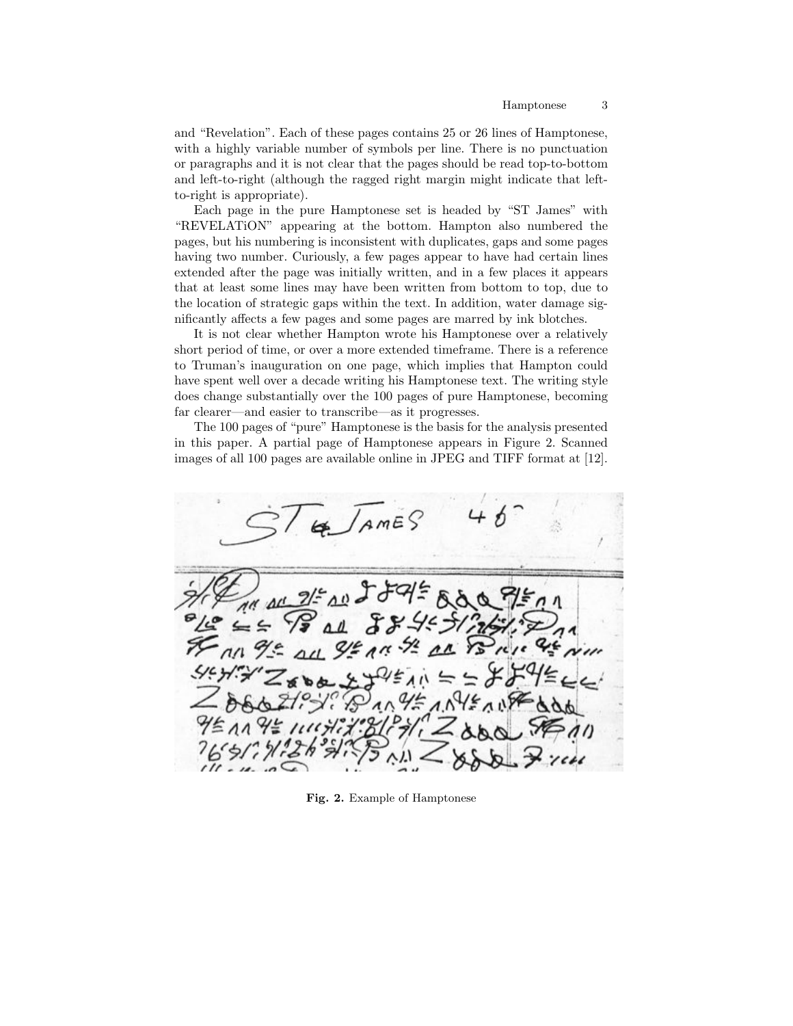and "Revelation". Each of these pages contains 25 or 26 lines of Hamptonese, with a highly variable number of symbols per line. There is no punctuation or paragraphs and it is not clear that the pages should be read top-to-bottom and left-to-right (although the ragged right margin might indicate that leftto-right is appropriate).

Each page in the pure Hamptonese set is headed by "ST James" with "REVELATiON" appearing at the bottom. Hampton also numbered the pages, but his numbering is inconsistent with duplicates, gaps and some pages having two number. Curiously, a few pages appear to have had certain lines extended after the page was initially written, and in a few places it appears that at least some lines may have been written from bottom to top, due to the location of strategic gaps within the text. In addition, water damage significantly affects a few pages and some pages are marred by ink blotches.

It is not clear whether Hampton wrote his Hamptonese over a relatively short period of time, or over a more extended timeframe. There is a reference to Truman's inauguration on one page, which implies that Hampton could have spent well over a decade writing his Hamptonese text. The writing style does change substantially over the 100 pages of pure Hamptonese, becoming far clearer—and easier to transcribe—as it progresses.

The 100 pages of "pure" Hamptonese is the basis for the analysis presented in this paper. A partial page of Hamptonese appears in Figure 2. Scanned images of all 100 pages are available online in JPEG and TIFF format at [12].

 $AMES$ 

Fig. 2. Example of Hamptonese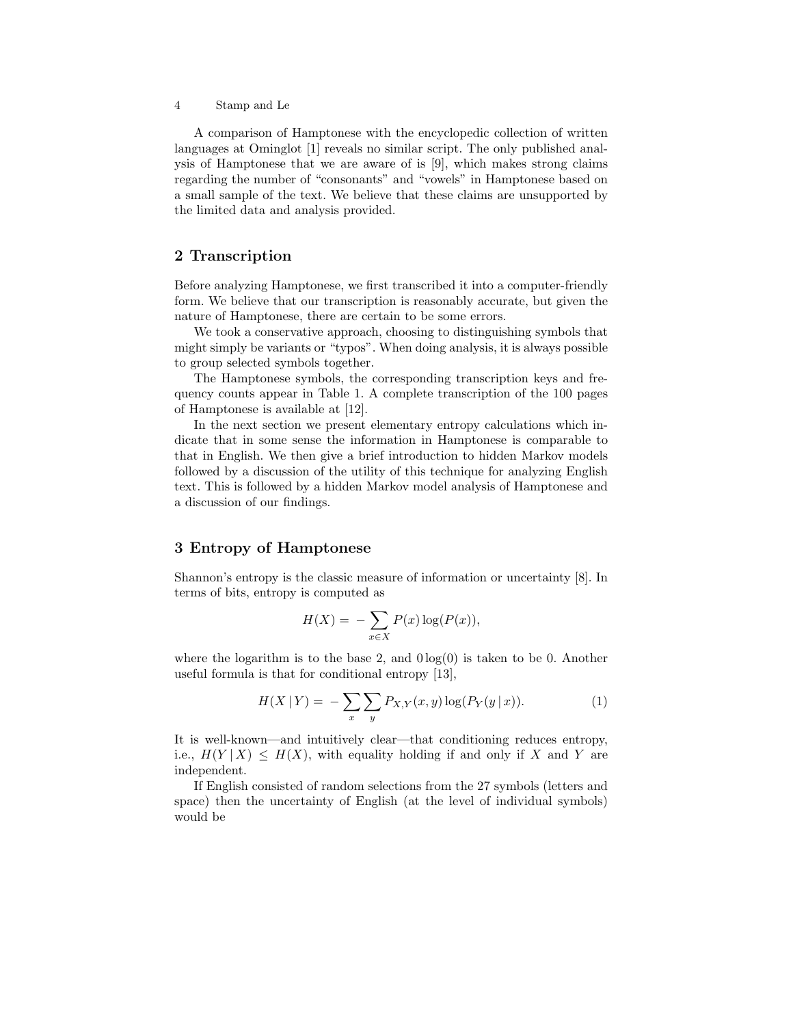A comparison of Hamptonese with the encyclopedic collection of written languages at Ominglot [1] reveals no similar script. The only published analysis of Hamptonese that we are aware of is [9], which makes strong claims regarding the number of "consonants" and "vowels" in Hamptonese based on a small sample of the text. We believe that these claims are unsupported by the limited data and analysis provided.

# 2 Transcription

Before analyzing Hamptonese, we first transcribed it into a computer-friendly form. We believe that our transcription is reasonably accurate, but given the nature of Hamptonese, there are certain to be some errors.

We took a conservative approach, choosing to distinguishing symbols that might simply be variants or "typos". When doing analysis, it is always possible to group selected symbols together.

The Hamptonese symbols, the corresponding transcription keys and frequency counts appear in Table 1. A complete transcription of the 100 pages of Hamptonese is available at [12].

In the next section we present elementary entropy calculations which indicate that in some sense the information in Hamptonese is comparable to that in English. We then give a brief introduction to hidden Markov models followed by a discussion of the utility of this technique for analyzing English text. This is followed by a hidden Markov model analysis of Hamptonese and a discussion of our findings.

# 3 Entropy of Hamptonese

Shannon's entropy is the classic measure of information or uncertainty [8]. In terms of bits, entropy is computed as

$$
H(X) = -\sum_{x \in X} P(x) \log(P(x)),
$$

where the logarithm is to the base 2, and  $0 \log(0)$  is taken to be 0. Another useful formula is that for conditional entropy [13],

$$
H(X | Y) = -\sum_{x} \sum_{y} P_{X,Y}(x, y) \log(P_Y(y | x)).
$$
 (1)

It is well-known—and intuitively clear—that conditioning reduces entropy, i.e.,  $H(Y | X) \leq H(X)$ , with equality holding if and only if X and Y are independent.

If English consisted of random selections from the 27 symbols (letters and space) then the uncertainty of English (at the level of individual symbols) would be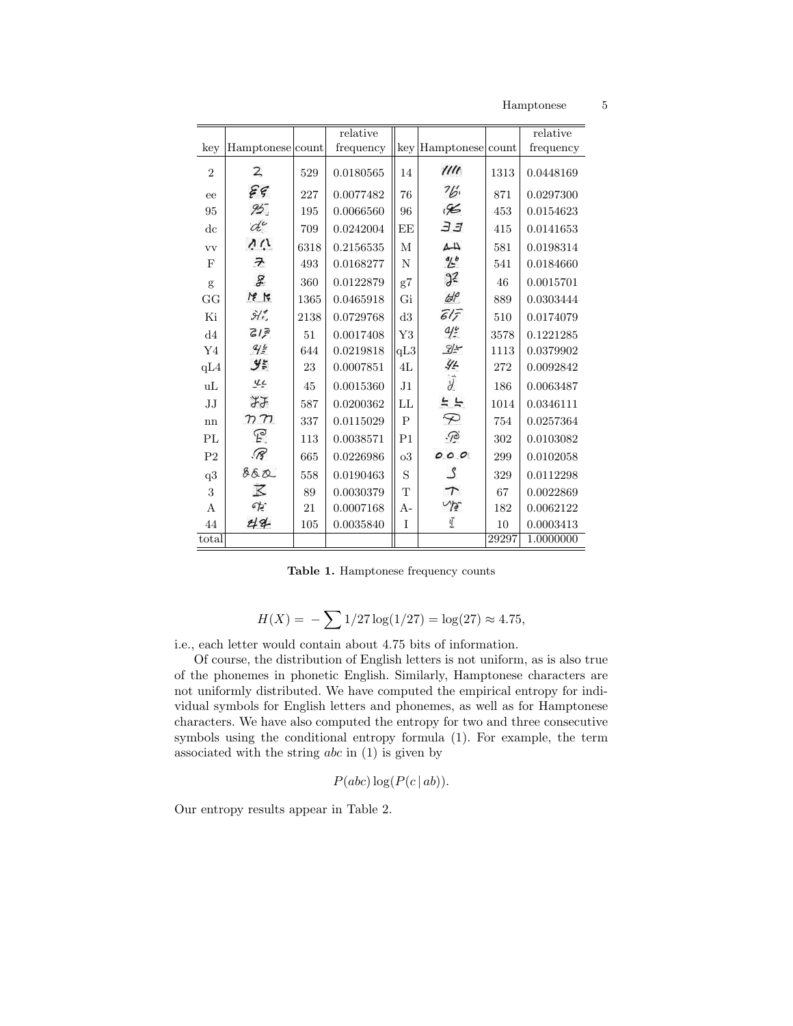Hamptonese 5

|                |                                                       |      | relative  |                |                  |       | relative  |
|----------------|-------------------------------------------------------|------|-----------|----------------|------------------|-------|-----------|
| key            | Hamptonese count                                      |      | frequency | key            | Hamptonese count |       | frequency |
| $\overline{2}$ | $\mathbf{Z}$                                          | 529  | 0.0180565 | 14             | 1111             | 1313  | 0.0448169 |
| ee             | ${\widetilde \varepsilon}$ ${\widetilde \varepsilon}$ | 227  | 0.0077482 | 76             | $\frac{7}{6}$    | 871   | 0.0297300 |
| 95             | 95.                                                   | 195  | 0.0066560 | 96             | $\mathscr{K}$    | 453   | 0.0154623 |
| $_{\rm dc}$    | de                                                    | 709  | 0.0242004 | EE             | ЭJ               | 415   | 0.0141653 |
| <b>vv</b>      | いい                                                    | 6318 | 0.2156535 | М              | 44               | 581   | 0.0198314 |
| F              | $\overline{\tau}$                                     | 493  | 0.0168277 | N              | <u>ol</u> p      | 541   | 0.0184660 |
| g              | $\mathcal{F}$                                         | 360  | 0.0122879 | g7             | 3 <sup>2</sup>   | 46    | 0.0015701 |
| GG             | $M_{8}$                                               | 1365 | 0.0465918 | Gi             | d <sup>o</sup>   | 889   | 0.0303444 |
| Ki             | $\hat{\mathcal{H}}_{\epsilon}^{\sigma}$               | 2138 | 0.0729768 | d3             | $61\overline{5}$ | 510   | 0.0174079 |
| $\mathrm{d}4$  | 315                                                   | 51   | 0.0017408 | Y3             | 4.6              | 3578  | 0.1221285 |
| Y4             | 9.4                                                   | 644  | 0.0219818 | qL3            | $\frac{2}{2}$    | 1113  | 0.0379902 |
| qL4            | $\mathcal{Y}^{\star}_{\tilde{r}}$                     | 23   | 0.0007851 | 4L             | 44               | 272   | 0.0092842 |
| uL             | 77                                                    | 45   | 0.0015360 | J1             | $\overline{d}$   | 186   | 0.0063487 |
| $\rm JJ$       | よよ                                                    | 587  | 0.0200362 | LL             | 55               | 1014  | 0.0346111 |
| nn             | $n \tau$                                              | 337  | 0.0115029 | $\mathbf P$    | $\varphi$        | 754   | 0.0257364 |
| PL             | E                                                     | 113  | 0.0038571 | P <sub>1</sub> | $\sqrt{2}$       | 302   | 0.0103082 |
| P <sub>2</sub> | $\mathscr{R}$                                         | 665  | 0.0226986 | $_{\rm o3}$    | 000              | 299   | 0.0102058 |
| $\rm q3$       | 860                                                   | 558  | 0.0190463 | S              | ګ                | 329   | 0.0112298 |
| 3              | $\overline{\mathcal{K}}$                              | 89   | 0.0030379 | T              | $\tau$           | 67    | 0.0022869 |
| A              | eÞ.                                                   | 21   | 0.0007168 | А-             | NB-              | 182   | 0.0062122 |
| 44             | 44                                                    | 105  | 0.0035840 | I              | 亚                | 10    | 0.0003413 |
| total          |                                                       |      |           |                |                  | 29297 | 1.0000000 |

Table 1. Hamptonese frequency counts

$$
H(X) = -\sum 1/27 \log(1/27) = \log(27) \approx 4.75,
$$

i.e., each letter would contain about 4.75 bits of information.

Of course, the distribution of English letters is not uniform, as is also true of the phonemes in phonetic English. Similarly, Hamptonese characters are not uniformly distributed. We have computed the empirical entropy for individual symbols for English letters and phonemes, as well as for Hamptonese characters. We have also computed the entropy for two and three consecutive symbols using the conditional entropy formula (1). For example, the term associated with the string  $abc$  in  $(1)$  is given by

$$
P(abc) \log (P(c|ab)).
$$

Our entropy results appear in Table 2.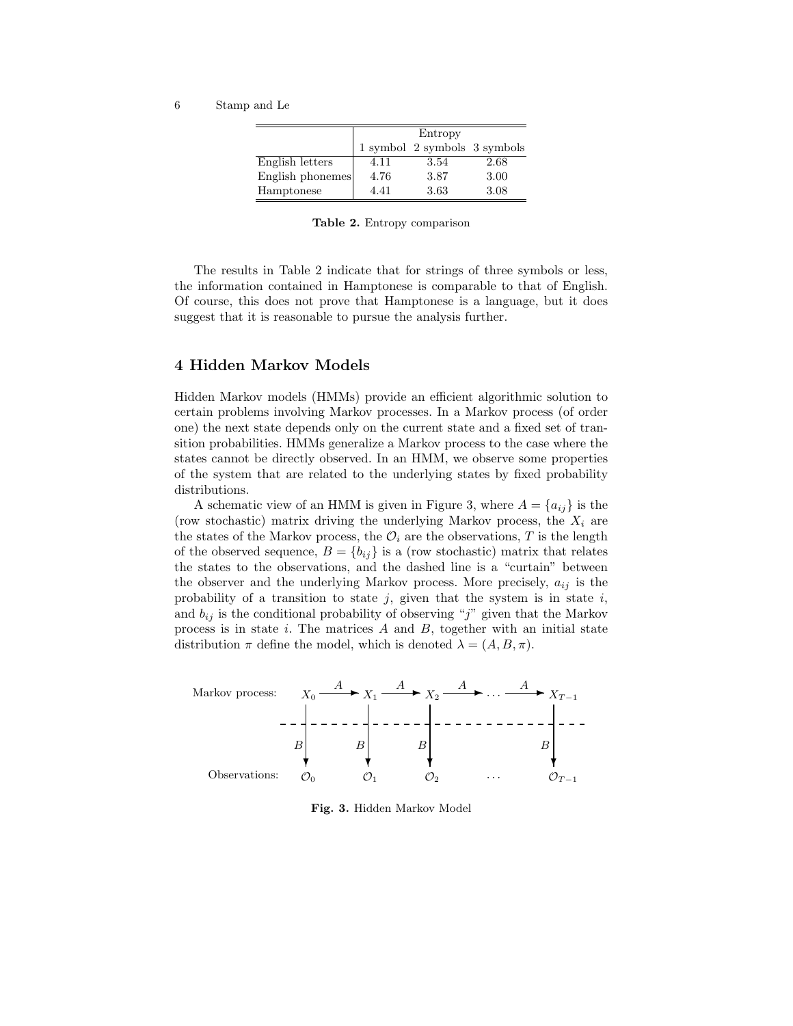|                  | Entropy |                              |      |  |
|------------------|---------|------------------------------|------|--|
|                  |         | 1 symbol 2 symbols 3 symbols |      |  |
| English letters  | 4.11    | 3.54                         | 2.68 |  |
| English phonemes | 4.76    | 3.87                         | 3.00 |  |
| Hamptonese       | 4.41    | 3.63                         | 3.08 |  |

Table 2. Entropy comparison

The results in Table 2 indicate that for strings of three symbols or less, the information contained in Hamptonese is comparable to that of English. Of course, this does not prove that Hamptonese is a language, but it does suggest that it is reasonable to pursue the analysis further.

### 4 Hidden Markov Models

Hidden Markov models (HMMs) provide an efficient algorithmic solution to certain problems involving Markov processes. In a Markov process (of order one) the next state depends only on the current state and a fixed set of transition probabilities. HMMs generalize a Markov process to the case where the states cannot be directly observed. In an HMM, we observe some properties of the system that are related to the underlying states by fixed probability distributions.

A schematic view of an HMM is given in Figure 3, where  $A = \{a_{ij}\}\$ is the (row stochastic) matrix driving the underlying Markov process, the  $X_i$  are the states of the Markov process, the  $\mathcal{O}_i$  are the observations, T is the length of the observed sequence,  $B = \{b_{ij}\}\$ is a (row stochastic) matrix that relates the states to the observations, and the dashed line is a "curtain" between the observer and the underlying Markov process. More precisely,  $a_{ij}$  is the probability of a transition to state  $j$ , given that the system is in state  $i$ , and  $b_{ij}$  is the conditional probability of observing "j" given that the Markov process is in state  $i$ . The matrices  $A$  and  $B$ , together with an initial state distribution  $\pi$  define the model, which is denoted  $\lambda = (A, B, \pi)$ .



Fig. 3. Hidden Markov Model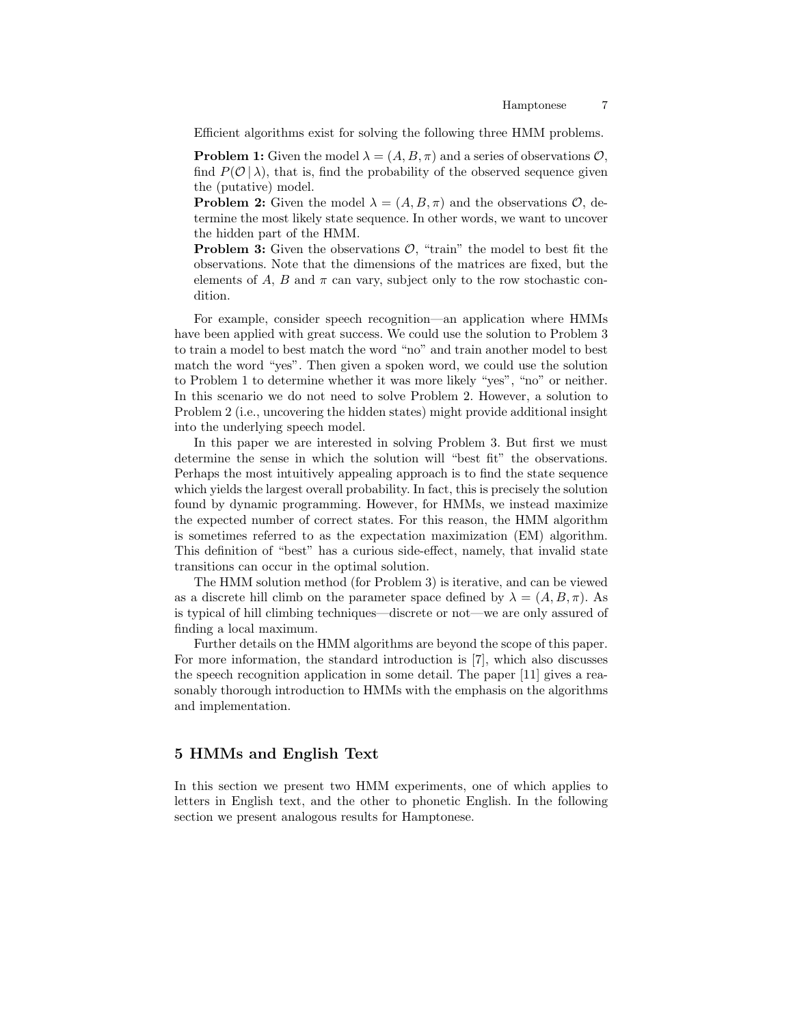Efficient algorithms exist for solving the following three HMM problems.

**Problem 1:** Given the model  $\lambda = (A, B, \pi)$  and a series of observations  $\mathcal{O}$ , find  $P(\mathcal{O} | \lambda)$ , that is, find the probability of the observed sequence given the (putative) model.

**Problem 2:** Given the model  $\lambda = (A, B, \pi)$  and the observations  $\mathcal{O}$ , determine the most likely state sequence. In other words, we want to uncover the hidden part of the HMM.

**Problem 3:** Given the observations  $\mathcal{O}$ , "train" the model to best fit the observations. Note that the dimensions of the matrices are fixed, but the elements of A, B and  $\pi$  can vary, subject only to the row stochastic condition.

For example, consider speech recognition—an application where HMMs have been applied with great success. We could use the solution to Problem 3 to train a model to best match the word "no" and train another model to best match the word "yes". Then given a spoken word, we could use the solution to Problem 1 to determine whether it was more likely "yes", "no" or neither. In this scenario we do not need to solve Problem 2. However, a solution to Problem 2 (i.e., uncovering the hidden states) might provide additional insight into the underlying speech model.

In this paper we are interested in solving Problem 3. But first we must determine the sense in which the solution will "best fit" the observations. Perhaps the most intuitively appealing approach is to find the state sequence which yields the largest overall probability. In fact, this is precisely the solution found by dynamic programming. However, for HMMs, we instead maximize the expected number of correct states. For this reason, the HMM algorithm is sometimes referred to as the expectation maximization (EM) algorithm. This definition of "best" has a curious side-effect, namely, that invalid state transitions can occur in the optimal solution.

The HMM solution method (for Problem 3) is iterative, and can be viewed as a discrete hill climb on the parameter space defined by  $\lambda = (A, B, \pi)$ . As is typical of hill climbing techniques—discrete or not—we are only assured of finding a local maximum.

Further details on the HMM algorithms are beyond the scope of this paper. For more information, the standard introduction is [7], which also discusses the speech recognition application in some detail. The paper [11] gives a reasonably thorough introduction to HMMs with the emphasis on the algorithms and implementation.

#### 5 HMMs and English Text

In this section we present two HMM experiments, one of which applies to letters in English text, and the other to phonetic English. In the following section we present analogous results for Hamptonese.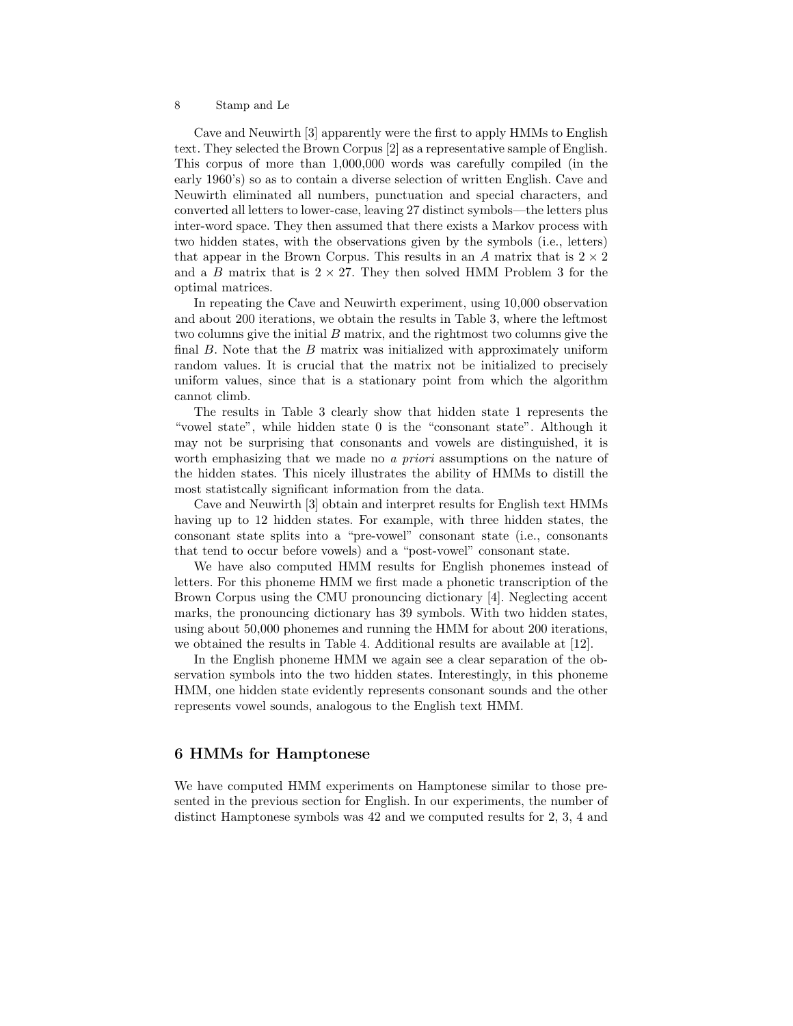Cave and Neuwirth [3] apparently were the first to apply HMMs to English text. They selected the Brown Corpus [2] as a representative sample of English. This corpus of more than 1,000,000 words was carefully compiled (in the early 1960's) so as to contain a diverse selection of written English. Cave and Neuwirth eliminated all numbers, punctuation and special characters, and converted all letters to lower-case, leaving 27 distinct symbols—the letters plus inter-word space. They then assumed that there exists a Markov process with two hidden states, with the observations given by the symbols (i.e., letters) that appear in the Brown Corpus. This results in an A matrix that is  $2 \times 2$ and a B matrix that is  $2 \times 27$ . They then solved HMM Problem 3 for the optimal matrices.

In repeating the Cave and Neuwirth experiment, using 10,000 observation and about 200 iterations, we obtain the results in Table 3, where the leftmost two columns give the initial B matrix, and the rightmost two columns give the final  $B$ . Note that the  $B$  matrix was initialized with approximately uniform random values. It is crucial that the matrix not be initialized to precisely uniform values, since that is a stationary point from which the algorithm cannot climb.

The results in Table 3 clearly show that hidden state 1 represents the "vowel state", while hidden state 0 is the "consonant state". Although it may not be surprising that consonants and vowels are distinguished, it is worth emphasizing that we made no a priori assumptions on the nature of the hidden states. This nicely illustrates the ability of HMMs to distill the most statistcally significant information from the data.

Cave and Neuwirth [3] obtain and interpret results for English text HMMs having up to 12 hidden states. For example, with three hidden states, the consonant state splits into a "pre-vowel" consonant state (i.e., consonants that tend to occur before vowels) and a "post-vowel" consonant state.

We have also computed HMM results for English phonemes instead of letters. For this phoneme HMM we first made a phonetic transcription of the Brown Corpus using the CMU pronouncing dictionary [4]. Neglecting accent marks, the pronouncing dictionary has 39 symbols. With two hidden states, using about 50,000 phonemes and running the HMM for about 200 iterations, we obtained the results in Table 4. Additional results are available at [12].

In the English phoneme HMM we again see a clear separation of the observation symbols into the two hidden states. Interestingly, in this phoneme HMM, one hidden state evidently represents consonant sounds and the other represents vowel sounds, analogous to the English text HMM.

# 6 HMMs for Hamptonese

We have computed HMM experiments on Hamptonese similar to those presented in the previous section for English. In our experiments, the number of distinct Hamptonese symbols was 42 and we computed results for 2, 3, 4 and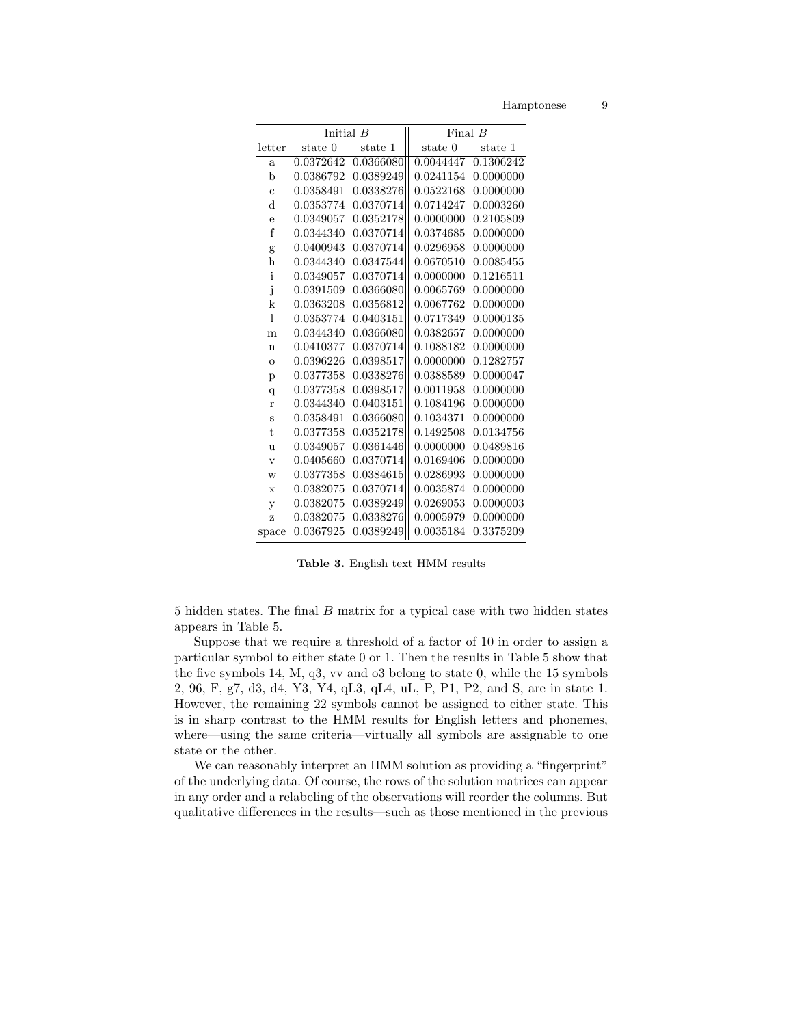Hamptonese

|                         | Initial $B$ |           | Final $B$ |           |  |
|-------------------------|-------------|-----------|-----------|-----------|--|
| letter                  | state 0     | state 1   | state 0   | state 1   |  |
| $\mathbf{a}$            | 0.0372642   | 0.0366080 | 0.0044447 | 0.1306242 |  |
| b                       | 0.0386792   | 0.0389249 | 0.0241154 | 0.0000000 |  |
| $\ddot{c}$              | 0.0358491   | 0.0338276 | 0.0522168 | 0.0000000 |  |
| $\rm d$                 | 0.0353774   | 0.0370714 | 0.0714247 | 0.0003260 |  |
| $\overline{e}$          | 0.0349057   | 0.0352178 | 0.0000000 | 0.2105809 |  |
| f                       | 0.0344340   | 0.0370714 | 0.0374685 | 0.0000000 |  |
| g                       | 0.0400943   | 0.0370714 | 0.0296958 | 0.0000000 |  |
| h                       | 0.0344340   | 0.0347544 | 0.0670510 | 0.0085455 |  |
| $\mathbf{i}$            | 0.0349057   | 0.0370714 | 0.0000000 | 0.1216511 |  |
| j                       | 0.0391509   | 0.0366080 | 0.0065769 | 0.0000000 |  |
| k                       | 0.0363208   | 0.0356812 | 0.0067762 | 0.0000000 |  |
| 1                       | 0.0353774   | 0.0403151 | 0.0717349 | 0.0000135 |  |
| m                       | 0.0344340   | 0.0366080 | 0.0382657 | 0.0000000 |  |
| $\mathbf n$             | 0.0410377   | 0.0370714 | 0.1088182 | 0.0000000 |  |
| $\overline{O}$          | 0.0396226   | 0.0398517 | 0.0000000 | 0.1282757 |  |
| p                       | 0.0377358   | 0.0338276 | 0.0388589 | 0.0000047 |  |
| $\overline{q}$          | 0.0377358   | 0.0398517 | 0.0011958 | 0.0000000 |  |
| $\mathbf{r}$            | 0.0344340   | 0.0403151 | 0.1084196 | 0.0000000 |  |
| S                       | 0.0358491   | 0.0366080 | 0.1034371 | 0.0000000 |  |
| $\mathbf t$             | 0.0377358   | 0.0352178 | 0.1492508 | 0.0134756 |  |
| u                       | 0.0349057   | 0.0361446 | 0.0000000 | 0.0489816 |  |
| $\overline{\mathbf{V}}$ | 0.0405660   | 0.0370714 | 0.0169406 | 0.0000000 |  |
| W                       | 0.0377358   | 0.0384615 | 0.0286993 | 0.0000000 |  |
| $\bar{x}$               | 0.0382075   | 0.0370714 | 0.0035874 | 0.0000000 |  |
| y                       | 0.0382075   | 0.0389249 | 0.0269053 | 0.0000003 |  |
| z                       | 0.0382075   | 0.0338276 | 0.0005979 | 0.0000000 |  |
| space                   | 0.0367925   | 0.0389249 | 0.0035184 | 0.3375209 |  |

Table 3. English text HMM results

5 hidden states. The final  $B$  matrix for a typical case with two hidden states appears in Table 5.

Suppose that we require a threshold of a factor of 10 in order to assign a particular symbol to either state 0 or 1. Then the results in Table 5 show that the five symbols 14, M,  $q3$ , vv and  $q3$  belong to state 0, while the 15 symbols 2, 96, F, g7, d3, d4, Y3, Y4, qL3, qL4, uL, P, P1, P2, and S, are in state 1. However, the remaining 22 symbols cannot be assigned to either state. This is in sharp contrast to the HMM results for English letters and phonemes, where—using the same criteria—virtually all symbols are assignable to one state or the other.

We can reasonably interpret an HMM solution as providing a "fingerprint" of the underlying data. Of course, the rows of the solution matrices can appear in any order and a relabeling of the observations will reorder the columns. But qualitative differences in the results—such as those mentioned in the previous

9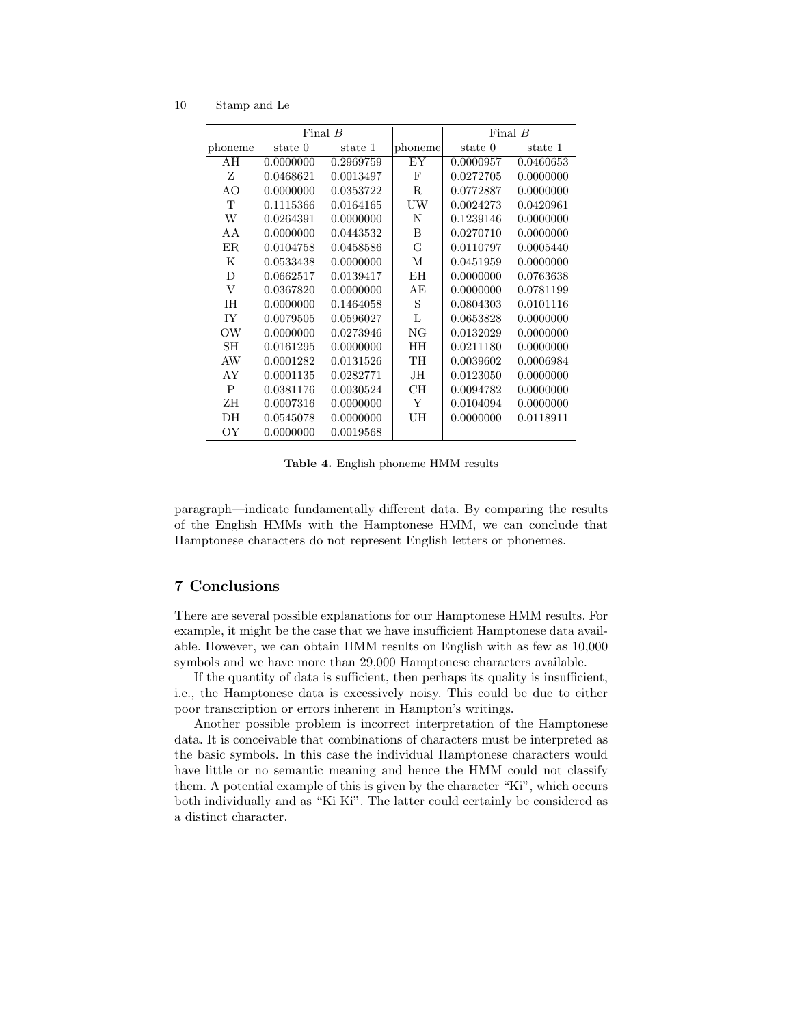10 Stamp and Le

|           | Final $B$ |           |             | Final $B$ |           |
|-----------|-----------|-----------|-------------|-----------|-----------|
| phoneme   | state 0   | state 1   | phoneme     | state 0   | state 1   |
| AH        | 0.0000000 | 0.2969759 | EY          | 0.0000957 | 0.0460653 |
| Z         | 0.0468621 | 0.0013497 | F           | 0.0272705 | 0.0000000 |
| AO        | 0.0000000 | 0.0353722 | $\mathbf R$ | 0.0772887 | 0.0000000 |
| T         | 0.1115366 | 0.0164165 | UW          | 0.0024273 | 0.0420961 |
| W         | 0.0264391 | 0.0000000 | N           | 0.1239146 | 0.0000000 |
| AA        | 0.0000000 | 0.0443532 | B           | 0.0270710 | 0.0000000 |
| ER.       | 0.0104758 | 0.0458586 | G           | 0.0110797 | 0.0005440 |
| Κ         | 0.0533438 | 0.0000000 | М           | 0.0451959 | 0.0000000 |
| D         | 0.0662517 | 0.0139417 | EH          | 0.0000000 | 0.0763638 |
| $\rm V$   | 0.0367820 | 0.0000000 | AЕ          | 0.0000000 | 0.0781199 |
| <b>IH</b> | 0.0000000 | 0.1464058 | S           | 0.0804303 | 0.0101116 |
| IY        | 0.0079505 | 0.0596027 | L           | 0.0653828 | 0.0000000 |
| OW        | 0.0000000 | 0.0273946 | NG          | 0.0132029 | 0.0000000 |
| SН        | 0.0161295 | 0.0000000 | HH          | 0.0211180 | 0.0000000 |
| AW        | 0.0001282 | 0.0131526 | TH          | 0.0039602 | 0.0006984 |
| AY        | 0.0001135 | 0.0282771 | JH          | 0.0123050 | 0.0000000 |
| P         | 0.0381176 | 0.0030524 | CH          | 0.0094782 | 0.0000000 |
| ZΗ        | 0.0007316 | 0.0000000 | Y           | 0.0104094 | 0.0000000 |
| DH        | 0.0545078 | 0.0000000 | UH          | 0.0000000 | 0.0118911 |
| OY        | 0.0000000 | 0.0019568 |             |           |           |

Table 4. English phoneme HMM results

paragraph—indicate fundamentally different data. By comparing the results of the English HMMs with the Hamptonese HMM, we can conclude that Hamptonese characters do not represent English letters or phonemes.

# 7 Conclusions

There are several possible explanations for our Hamptonese HMM results. For example, it might be the case that we have insufficient Hamptonese data available. However, we can obtain HMM results on English with as few as 10,000 symbols and we have more than 29,000 Hamptonese characters available.

If the quantity of data is sufficient, then perhaps its quality is insufficient, i.e., the Hamptonese data is excessively noisy. This could be due to either poor transcription or errors inherent in Hampton's writings.

Another possible problem is incorrect interpretation of the Hamptonese data. It is conceivable that combinations of characters must be interpreted as the basic symbols. In this case the individual Hamptonese characters would have little or no semantic meaning and hence the HMM could not classify them. A potential example of this is given by the character "Ki", which occurs both individually and as "Ki Ki". The latter could certainly be considered as a distinct character.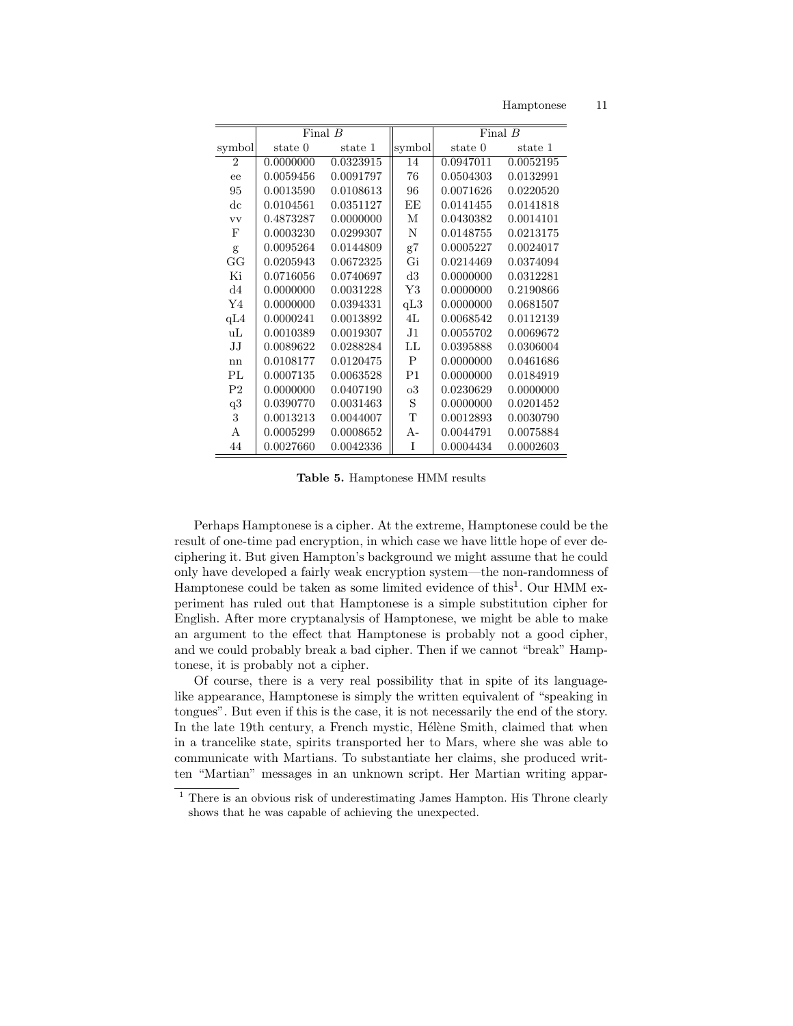Hamptonese

|                 | Final $B$ |           |                | Final $B$ |           |
|-----------------|-----------|-----------|----------------|-----------|-----------|
| symbol          | state 0   | state 1   | symbol         | state 0   | state 1   |
| $\mathfrak{D}$  | 0.0000000 | 0.0323915 | 14             | 0.0947011 | 0.0052195 |
| ee              | 0.0059456 | 0.0091797 | 76             | 0.0504303 | 0.0132991 |
| 95              | 0.0013590 | 0.0108613 | 96             | 0.0071626 | 0.0220520 |
| $_{\rm dc}$     | 0.0104561 | 0.0351127 | EE             | 0.0141455 | 0.0141818 |
| <b>VV</b>       | 0.4873287 | 0.0000000 | М              | 0.0430382 | 0.0014101 |
| F               | 0.0003230 | 0.0299307 | N              | 0.0148755 | 0.0213175 |
| g               | 0.0095264 | 0.0144809 | g7             | 0.0005227 | 0.0024017 |
| GG              | 0.0205943 | 0.0672325 | Gi             | 0.0214469 | 0.0374094 |
| Ki              | 0.0716056 | 0.0740697 | d3             | 0.0000000 | 0.0312281 |
| d4              | 0.0000000 | 0.0031228 | Y3             | 0.0000000 | 0.2190866 |
| Y <sub>4</sub>  | 0.0000000 | 0.0394331 | qL3            | 0.0000000 | 0.0681507 |
| qL4             | 0.0000241 | 0.0013892 | 4L             | 0.0068542 | 0.0112139 |
| uL              | 0.0010389 | 0.0019307 | J <sub>1</sub> | 0.0055702 | 0.0069672 |
| JJ              | 0.0089622 | 0.0288284 | LL             | 0.0395888 | 0.0306004 |
| nn              | 0.0108177 | 0.0120475 | P              | 0.0000000 | 0.0461686 |
| PI <sub>L</sub> | 0.0007135 | 0.0063528 | P <sub>1</sub> | 0.0000000 | 0.0184919 |
| P <sub>2</sub>  | 0.0000000 | 0.0407190 | $_{\rm o3}$    | 0.0230629 | 0.0000000 |
| q3              | 0.0390770 | 0.0031463 | S              | 0.0000000 | 0.0201452 |
| 3               | 0.0013213 | 0.0044007 | T              | 0.0012893 | 0.0030790 |
| A               | 0.0005299 | 0.0008652 | $A -$          | 0.0044791 | 0.0075884 |
| 44              | 0.0027660 | 0.0042336 | T              | 0.0004434 | 0.0002603 |

Table 5. Hamptonese HMM results

Perhaps Hamptonese is a cipher. At the extreme, Hamptonese could be the result of one-time pad encryption, in which case we have little hope of ever deciphering it. But given Hampton's background we might assume that he could only have developed a fairly weak encryption system—the non-randomness of Hamptonese could be taken as some limited evidence of this<sup>1</sup>. Our HMM experiment has ruled out that Hamptonese is a simple substitution cipher for English. After more cryptanalysis of Hamptonese, we might be able to make an argument to the effect that Hamptonese is probably not a good cipher, and we could probably break a bad cipher. Then if we cannot "break" Hamptonese, it is probably not a cipher.

Of course, there is a very real possibility that in spite of its languagelike appearance, Hamptonese is simply the written equivalent of "speaking in tongues". But even if this is the case, it is not necessarily the end of the story. In the late 19th century, a French mystic, Hélène Smith, claimed that when in a trancelike state, spirits transported her to Mars, where she was able to communicate with Martians. To substantiate her claims, she produced written "Martian" messages in an unknown script. Her Martian writing appar-

11

 $1$  There is an obvious risk of underestimating James Hampton. His Throne clearly shows that he was capable of achieving the unexpected.